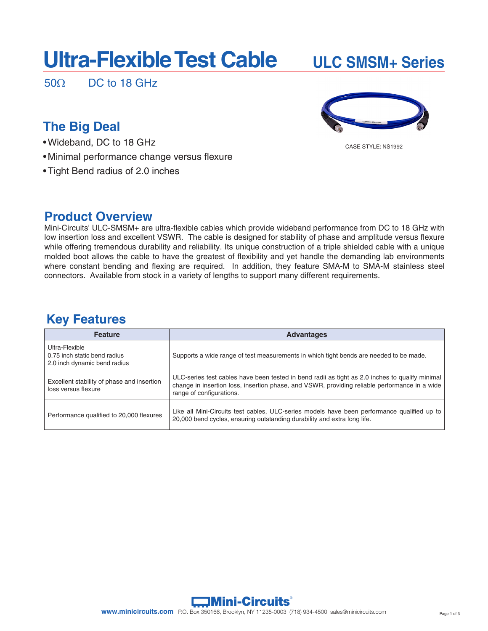## **Ultra-Flexible Test Cable ULC SMSM+ Series**

 $50\Omega$  DC to 18 GHz

## **The Big Deal**

- Wideband, DC to 18 GHz
- Minimal performance change versus flexure
- Tight Bend radius of 2.0 inches

### **Product Overview**

Mini-Circuits' ULC-SMSM+ are ultra-flexible cables which provide wideband performance from DC to 18 GHz with low insertion loss and excellent VSWR. The cable is designed for stability of phase and amplitude versus flexure while offering tremendous durability and reliability. Its unique construction of a triple shielded cable with a unique molded boot allows the cable to have the greatest of flexibility and yet handle the demanding lab environments where constant bending and flexing are required. In addition, they feature SMA-M to SMA-M stainless steel connectors. Available from stock in a variety of lengths to support many different requirements.

## **Key Features**

| <b>Feature</b>                                                                 | <b>Advantages</b>                                                                                                                                                                                                            |
|--------------------------------------------------------------------------------|------------------------------------------------------------------------------------------------------------------------------------------------------------------------------------------------------------------------------|
| Ultra-Flexible<br>0.75 inch static bend radius<br>2.0 inch dynamic bend radius | Supports a wide range of test measurements in which tight bends are needed to be made.                                                                                                                                       |
| Excellent stability of phase and insertion<br>loss versus flexure              | ULC-series test cables have been tested in bend radii as tight as 2.0 inches to qualify minimal<br>change in insertion loss, insertion phase, and VSWR, providing reliable performance in a wide<br>range of configurations. |
| Performance qualified to 20,000 flexures                                       | Like all Mini-Circuits test cables, ULC-series models have been performance qualified up to<br>20,000 bend cycles, ensuring outstanding durability and extra long life.                                                      |



CASE STYLE: NS1992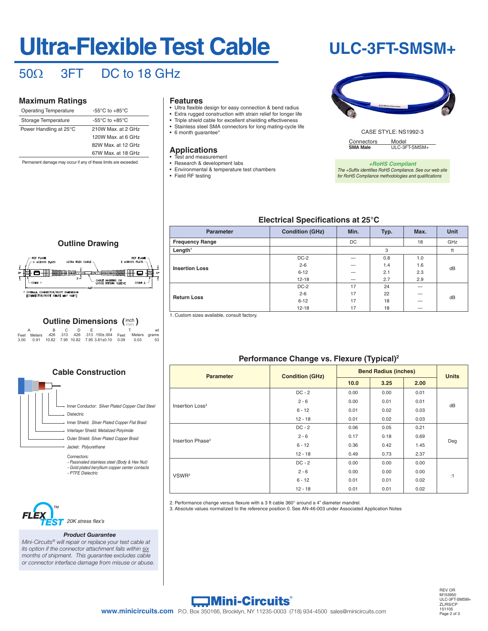# **Ultra-Flexible Test Cable**

## **ULC-3FT-SMSM+**

## 50Ω 3FT DC to 18 GHz

#### **Maximum Ratings**

| <b>Operating Temperature</b> | -55 $\mathrm{^{\circ}C}$ to +85 $\mathrm{^{\circ}C}$ |
|------------------------------|------------------------------------------------------|
| Storage Temperature          | -55 $\mathrm{^{\circ}C}$ to +85 $\mathrm{^{\circ}C}$ |
| Power Handling at 25°C       | 210W Max, at 2 GHz                                   |
|                              | 120W Max, at 6 GHz                                   |
|                              | 82W Max, at 12 GHz                                   |
|                              | 67W Max, at 18 GHz                                   |
|                              |                                                      |

Permanent damage may occur if any of these limits are exceeded.

#### **Features**

- Ultra flexible design for easy connection & bend radius
- Extra rugged construction with strain relief for longer life • Triple shield cable for excellent shielding effectiveness
- Stainless steel SMA connectors for long mating-cycle life
- 6 month guarantee\*

#### **Applications**

- Test and measurement
- Research & development labs
- Environmental & temperature test chambers • Field RF testing
	-



CASE STYLE: NS1992-3 Connectors Model<br>
SMA Male ULC-3F ULC-3FT-SMSM+

*+RoHS Compliant The +Suffix identifies RoHS Compliance. See our web site for RoHS Compliance methodologies and qualifications*

#### **Electrical Specifications at 25°C**

| <b>Parameter</b>       | <b>Condition (GHz)</b> | Min. | Typ. | Max. | <b>Unit</b> |
|------------------------|------------------------|------|------|------|-------------|
| <b>Frequency Range</b> |                        | DC   |      | 18   | GHz         |
| Length <sup>1</sup>    |                        |      | 3    |      | ft          |
|                        | $DC-2$                 |      | 0.8  | 1.0  |             |
| <b>Insertion Loss</b>  | $2 - 6$                |      | 1.4  | 1.6  | dB          |
|                        | $6 - 12$               |      | 2.1  | 2.3  |             |
|                        | $12 - 18$              |      | 2.7  | 2.9  |             |
|                        | $DC-2$                 | 17   | 24   |      |             |
| <b>Return Loss</b>     | $2 - 6$                | 17   | 22   |      | dB          |
|                        | $6 - 12$               | 17   | 18   |      |             |
|                        | $12 - 18$              | 17   | 18   |      |             |

1. Custom sizes available, consult factory.

#### **Performance Change vs. Flexure (Typical)2**

| <b>Parameter</b>             | <b>Condition (GHz)</b>                                | <b>Bend Radius (inches)</b> |      |      | <b>Units</b> |
|------------------------------|-------------------------------------------------------|-----------------------------|------|------|--------------|
|                              |                                                       | 10.0                        | 3.25 | 2.00 |              |
|                              | $DC - 2$                                              | 0.00                        | 0.00 | 0.01 |              |
| Insertion Loss <sup>3</sup>  | $2 - 6$                                               | 0.00                        | 0.01 | 0.01 | dB           |
|                              | $6 - 12$                                              | 0.01                        | 0.02 | 0.03 |              |
|                              | $12 - 18$                                             | 0.01                        | 0.02 | 0.03 |              |
|                              | $DC - 2$                                              | 0.06                        | 0.05 | 0.21 |              |
| Insertion Phase <sup>3</sup> | $2 - 6$                                               | 0.17                        | 0.18 | 0.69 |              |
|                              | $6 - 12$                                              | 0.36                        | 0.42 | 1.45 | Deg          |
|                              | $12 - 18$<br>0.49<br>0.73<br>$DC - 2$<br>0.00<br>0.00 | 2.37                        |      |      |              |
|                              |                                                       |                             |      | 0.00 |              |
| VSWR <sup>3</sup>            | $2 - 6$                                               | 0.00                        | 0.00 | 0.00 |              |
|                              | $6 - 12$                                              | 0.01                        | 0.01 | 0.02 | :1           |
|                              | $12 - 18$                                             | 0.01                        | 0.01 | 0.02 |              |

2. Performance change versus flexure with a 3 ft cable 360° around a 4" diameter mandrel.

3. Absolute values normalized to the reference position 0. See AN-46-003 under Associated Application Notes



### **Outline Dimensions (inch)**

B C D E F wt Feet Meters .426 .313 .426 .313 .150±.004 Feet Meters grams A T 3.00 0.91 10.82 7.95 10.82 7.95 3.81±0.10 0.09 0.03 53

#### **Cable Construction**

| Inner Conductor: Silver Plated Copper Clad Steel |
|--------------------------------------------------|
| <b>Dielectric</b>                                |
| Inner Shield: Silver Plated Copper Flat Braid    |
| Interlayer Shield: Metalized Polyimide           |
| Outer Shield: Silver Plated Copper Braid         |
| Jacket: Polyurethane                             |

Connectors:

- *Passivated stainless steel (Body & Hex Nut)*
- *Gold plated beryllium copper center contacts - PTFE Dielectric*



#### *Product Guarantee*

*Mini-Circuits® will repair or replace your test cable at its option if the connector attachment fails within six months of shipment. This guarantee excludes cable or connector interface damage from misuse or abuse.*



A. Performance and quality attributes and conditions not expressly stated in this specification document are intended to be excluded and do not form a part of this specification document. B. Electrical specifications and performance data contained in this specification document are based on Mini-Circuit's applicable established test performance criteria and measurement instructions. C. The parts covered by this specification document are subject to Mini-Circuits standard limited warranty and terms and conditions (collectively, "Standard Terms"); Purchasers of this part are entitled